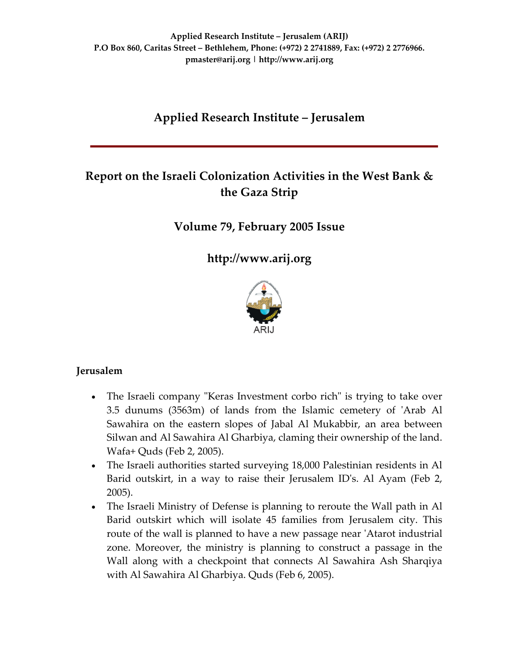# **Applied Research Institute – Jerusalem**

# **Report on the Israeli Colonization Activities in the West Bank & the Gaza Strip**

# **Volume 79, February 2005 Issue**

**[http://www.arij.org](http://www.arij.org/)**



#### **Jerusalem**

- The Israeli company "Keras Investment corbo rich" is trying to take over 3.5 dunums (3563m) of lands from the Islamic cemetery of ʹArab Al Sawahira on the eastern slopes of Jabal Al Mukabbir, an area between Silwan and Al Sawahira Al Gharbiya, claming their ownership of the land. Wafa+ Quds (Feb 2, 2005).
- The Israeli authorities started surveying 18,000 Palestinian residents in Al Barid outskirt, in a way to raise their Jerusalem IDʹs. Al Ayam (Feb 2, 2005).
- The Israeli Ministry of Defense is planning to reroute the Wall path in Al Barid outskirt which will isolate 45 families from Jerusalem city. This route of the wall is planned to have a new passage near ʹAtarot industrial zone. Moreover, the ministry is planning to construct a passage in the Wall along with a checkpoint that connects Al Sawahira Ash Sharqiya with Al Sawahira Al Gharbiya. Quds (Feb 6, 2005).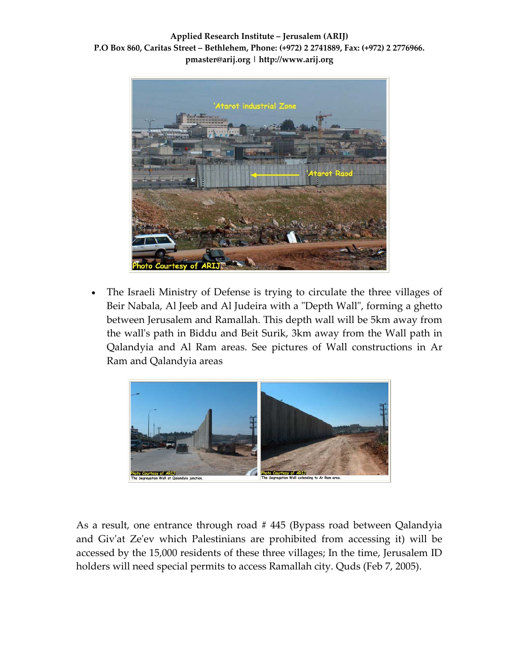

The Israeli Ministry of Defense is trying to circulate the three villages of Beir Nabala, Al Jeeb and Al Judeira with a "Depth Wall", forming a ghetto between Jerusalem and Ramallah. This depth wall will be 5km away from the wallʹs path in Biddu and Beit Surik, 3km away from the Wall path in Qalandyia and Al Ram areas. See pictures of Wall constructions in Ar Ram and Qalandyia areas



As a result, one entrance through road # 445 (Bypass road between Qalandyia and Givʹat Zeʹev which Palestinians are prohibited from accessing it) will be accessed by the 15,000 residents of these three villages; In the time, Jerusalem ID holders will need special permits to access Ramallah city. Quds (Feb 7, 2005).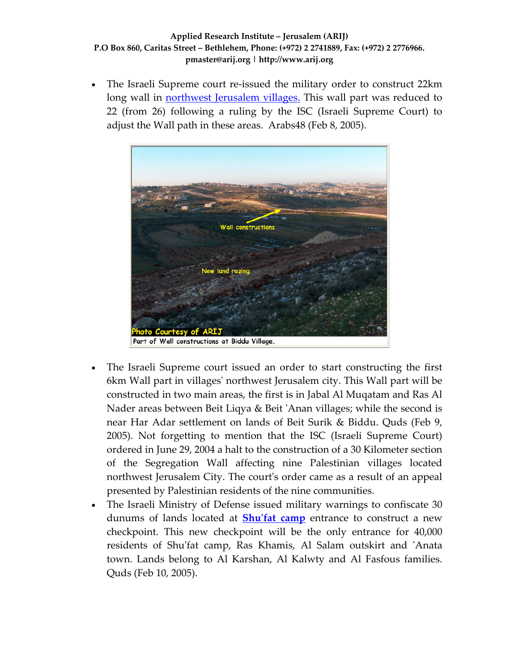The Israeli Supreme court re-issued the military order to construct 22km long wall in [northwest](http://www.poica.org/editor/case_studies/view.php?recordID=463) Jerusalem villages. This wall part was reduced to 22 (from 26) following a ruling by the ISC (Israeli Supreme Court) to adjust the Wall path in these areas. Arabs48 (Feb 8, 2005).



- The Israeli Supreme court issued an order to start constructing the first 6km Wall part in villagesʹ northwest Jerusalem city. This Wall part will be constructed in two main areas, the first is in Jabal Al Muqatam and Ras Al Nader areas between Beit Liqya & Beit ʹAnan villages; while the second is near Har Adar settlement on lands of Beit Surik & Biddu. Quds (Feb 9, 2005). Not forgetting to mention that the ISC (Israeli Supreme Court) ordered in June 29, 2004 a halt to the construction of a 30 Kilometer section of the Segregation Wall affecting nine Palestinian villages located northwest Jerusalem City. The court's order came as a result of an appeal presented by Palestinian residents of the nine communities.
- The Israeli Ministry of Defense issued military warnings to confiscate 30 dunums of lands located at **Shuʹfat [camp](http://www.poica.org/editor/case_studies/view.php?recordID=427)** entrance to construct a new checkpoint. This new checkpoint will be the only entrance for 40,000 residents of Shu'fat camp, Ras Khamis, Al Salam outskirt and 'Anata town. Lands belong to Al Karshan, Al Kalwty and Al Fasfous families. Quds (Feb 10, 2005).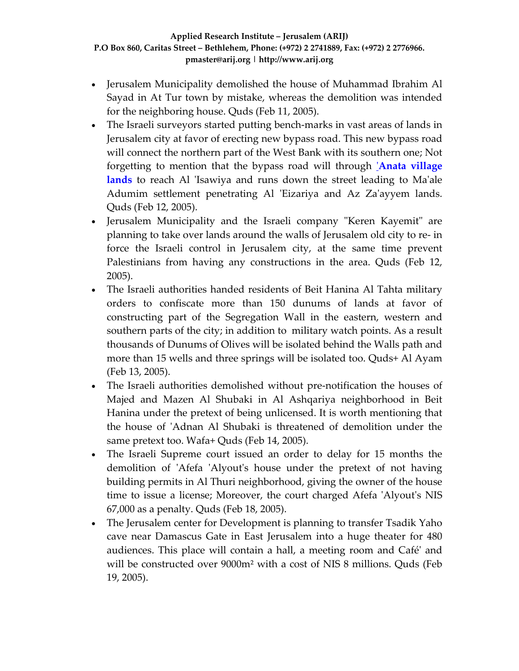- Jerusalem Municipality demolished the house of Muhammad Ibrahim Al Sayad in At Tur town by mistake, whereas the demolition was intended for the neighboring house. Quds (Feb 11, 2005).
- The Israeli surveyors started putting bench-marks in vast areas of lands in Jerusalem city at favor of erecting new bypass road. This new bypass road will connect the northern part of the West Bank with its southern one; Not forgetting to mention that the bypass road will through ʹ**Anata [village](http://www.poica.org/editor/case_studies/view.php?recordID=418)** [lands](http://www.poica.org/editor/case_studies/view.php?recordID=418) to reach Al 'Isawiya and runs down the street leading to Ma'ale Adumim settlement penetrating Al 'Eizariya and Az Za'ayyem lands. Quds (Feb 12, 2005).
- Jerusalem Municipality and the Israeli company "Keren Kayemit" are planning to take over lands around the walls of Jerusalem old city to re‐ in force the Israeli control in Jerusalem city, at the same time prevent Palestinians from having any constructions in the area. Quds (Feb 12, 2005).
- The Israeli authorities handed residents of Beit Hanina Al Tahta military orders to confiscate more than 150 dunums of lands at favor of constructing part of the Segregation Wall in the eastern, western and southern parts of the city; in addition to military watch points. As a result thousands of Dunums of Olives will be isolated behind the Walls path and more than 15 wells and three springs will be isolated too. Quds+ Al Ayam (Feb 13, 2005).
- The Israeli authorities demolished without pre-notification the houses of Majed and Mazen Al Shubaki in Al Ashqariya neighborhood in Beit Hanina under the pretext of being unlicensed. It is worth mentioning that the house of ʹAdnan Al Shubaki is threatened of demolition under the same pretext too. Wafa+ Quds (Feb 14, 2005).
- The Israeli Supreme court issued an order to delay for 15 months the demolition of 'Afefa 'Alyout's house under the pretext of not having building permits in Al Thuri neighborhood, giving the owner of the house time to issue a license; Moreover, the court charged Afefa 'Alyout's NIS 67,000 as a penalty. Quds (Feb 18, 2005).
- The Jerusalem center for Development is planning to transfer Tsadik Yaho cave near Damascus Gate in East Jerusalem into a huge theater for 480 audiences. This place will contain a hall, a meeting room and Caféʹ and will be constructed over 9000m² with a cost of NIS 8 millions. Quds (Feb 19, 2005).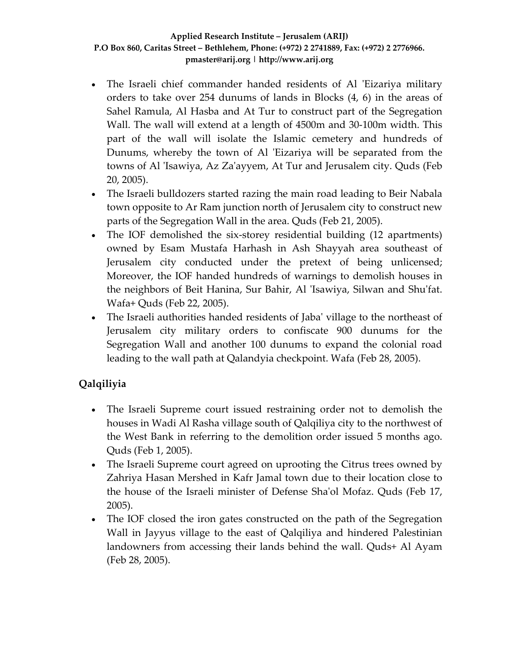- The Israeli chief commander handed residents of Al 'Eizariya military orders to take over 254 dunums of lands in Blocks (4, 6) in the areas of Sahel Ramula, Al Hasba and At Tur to construct part of the Segregation Wall. The wall will extend at a length of 4500m and 30‐100m width. This part of the wall will isolate the Islamic cemetery and hundreds of Dunums, whereby the town of Al 'Eizariya will be separated from the towns of Al ʹIsawiya, Az Zaʹayyem, At Tur and Jerusalem city. Quds (Feb 20, 2005).
- The Israeli bulldozers started razing the main road leading to Beir Nabala town opposite to Ar Ram junction north of Jerusalem city to construct new parts of the Segregation Wall in the area. Quds (Feb 21, 2005).
- The IOF demolished the six-storey residential building (12 apartments) owned by Esam Mustafa Harhash in Ash Shayyah area southeast of Jerusalem city conducted under the pretext of being unlicensed; Moreover, the IOF handed hundreds of warnings to demolish houses in the neighbors of Beit Hanina, Sur Bahir, Al ʹIsawiya, Silwan and Shuʹfat. Wafa+ Quds (Feb 22, 2005).
- The Israeli authorities handed residents of Jaba' village to the northeast of Jerusalem city military orders to confiscate 900 dunums for the Segregation Wall and another 100 dunums to expand the colonial road leading to the wall path at Qalandyia checkpoint. Wafa (Feb 28, 2005).

# **Qalqiliyia**

- The Israeli Supreme court issued restraining order not to demolish the houses in Wadi Al Rasha village south of Qalqiliya city to the northwest of the West Bank in referring to the demolition order issued 5 months ago. Quds (Feb 1, 2005).
- The Israeli Supreme court agreed on uprooting the Citrus trees owned by Zahriya Hasan Mershed in Kafr Jamal town due to their location close to the house of the Israeli minister of Defense Shaʹol Mofaz. Quds (Feb 17, 2005).
- The IOF closed the iron gates constructed on the path of the Segregation Wall in Jayyus village to the east of Qalqiliya and hindered Palestinian landowners from accessing their lands behind the wall. Quds+ Al Ayam (Feb 28, 2005).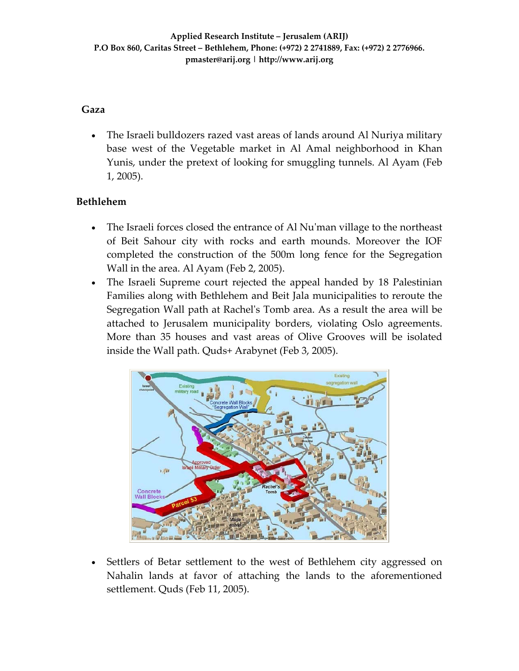### **Gaza**

• The Israeli bulldozers razed vast areas of lands around Al Nuriya military base west of the Vegetable market in Al Amal neighborhood in Khan Yunis, under the pretext of looking for smuggling tunnels. Al Ayam (Feb 1, 2005).

# **Bethlehem**

- The Israeli forces closed the entrance of Al Nu'man village to the northeast of Beit Sahour city with rocks and earth mounds. Moreover the IOF completed the construction of the 500m long fence for the Segregation Wall in the area. Al Ayam (Feb 2, 2005).
- The Israeli Supreme court rejected the appeal handed by 18 Palestinian Families along with Bethlehem and Beit Jala municipalities to reroute the Segregation Wall path at Rachelʹs Tomb area. As a result the area will be attached to Jerusalem municipality borders, violating Oslo agreements. More than 35 houses and vast areas of Olive Grooves will be isolated inside the Wall path. Quds+ Arabynet (Feb 3, 2005).



• Settlers of Betar settlement to the west of Bethlehem city aggressed on Nahalin lands at favor of attaching the lands to the aforementioned settlement. Quds (Feb 11, 2005).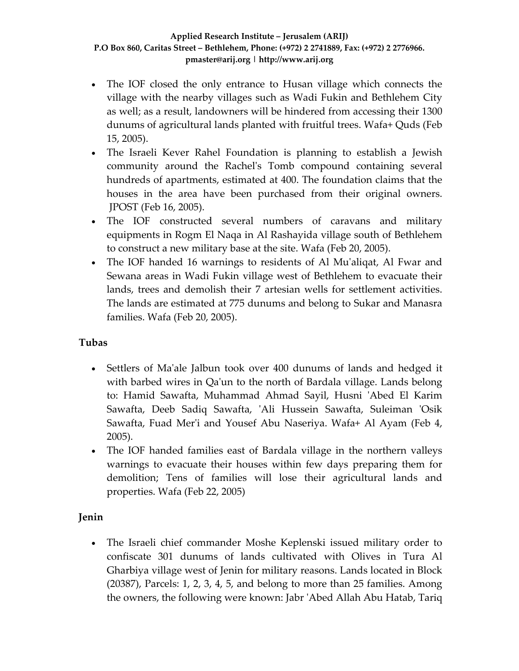- The IOF closed the only entrance to Husan village which connects the village with the nearby villages such as Wadi Fukin and Bethlehem City as well; as a result, landowners will be hindered from accessing their 1300 dunums of agricultural lands planted with fruitful trees. Wafa+ Quds (Feb 15, 2005).
- The Israeli Kever Rahel Foundation is planning to establish a Jewish community around the Rachelʹs Tomb compound containing several hundreds of apartments, estimated at 400. The foundation claims that the houses in the area have been purchased from their original owners. JPOST (Feb 16, 2005).
- The IOF constructed several numbers of caravans and military equipments in Rogm El Naqa in Al Rashayida village south of Bethlehem to construct a new military base at the site. Wafa (Feb 20, 2005).
- The IOF handed 16 warnings to residents of Al Mu'aliqat, Al Fwar and Sewana areas in Wadi Fukin village west of Bethlehem to evacuate their lands, trees and demolish their 7 artesian wells for settlement activities. The lands are estimated at 775 dunums and belong to Sukar and Manasra families. Wafa (Feb 20, 2005).

## **Tubas**

- Settlers of Ma'ale Jalbun took over 400 dunums of lands and hedged it with barbed wires in Qa'un to the north of Bardala village. Lands belong to: Hamid Sawafta, Muhammad Ahmad Sayil, Husni ʹAbed El Karim Sawafta, Deeb Sadiq Sawafta, 'Ali Hussein Sawafta, Suleiman 'Osik Sawafta, Fuad Mer'i and Yousef Abu Naseriya. Wafa+ Al Ayam (Feb 4, 2005).
- The IOF handed families east of Bardala village in the northern valleys warnings to evacuate their houses within few days preparing them for demolition; Tens of families will lose their agricultural lands and properties. Wafa (Feb 22, 2005)

## **Jenin**

• The Israeli chief commander Moshe Keplenski issued military order to confiscate 301 dunums of lands cultivated with Olives in Tura Al Gharbiya village west of Jenin for military reasons. Lands located in Block (20387), Parcels: 1, 2, 3, 4, 5, and belong to more than 25 families. Among the owners, the following were known: Jabr ʹAbed Allah Abu Hatab, Tariq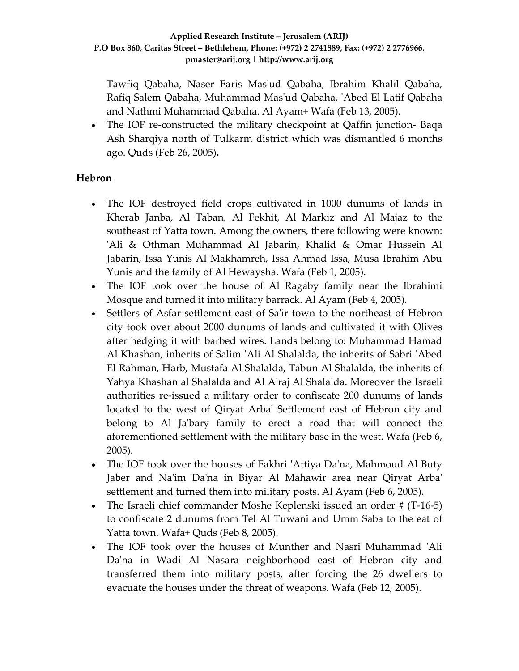Tawfiq Qabaha, Naser Faris Masʹud Qabaha, Ibrahim Khalil Qabaha, Rafiq Salem Qabaha, Muhammad Masʹud Qabaha, ʹAbed El Latif Qabaha and Nathmi Muhammad Qabaha. Al Ayam+ Wafa (Feb 13, 2005).

• The IOF re-constructed the military checkpoint at Qaffin junction- Baqa Ash Sharqiya north of Tulkarm district which was dismantled 6 months ago. Quds (Feb 26, 2005)**.**

### **Hebron**

- The IOF destroyed field crops cultivated in 1000 dunums of lands in Kherab Janba, Al Taban, Al Fekhit, Al Markiz and Al Majaz to the southeast of Yatta town. Among the owners, there following were known: 'Ali & Othman Muhammad Al Jabarin, Khalid & Omar Hussein Al Jabarin, Issa Yunis Al Makhamreh, Issa Ahmad Issa, Musa Ibrahim Abu Yunis and the family of Al Hewaysha. Wafa (Feb 1, 2005).
- The IOF took over the house of Al Ragaby family near the Ibrahimi Mosque and turned it into military barrack. Al Ayam (Feb 4, 2005).
- Settlers of Asfar settlement east of Sa'ir town to the northeast of Hebron city took over about 2000 dunums of lands and cultivated it with Olives after hedging it with barbed wires. Lands belong to: Muhammad Hamad Al Khashan, inherits of Salim ʹAli Al Shalalda, the inherits of Sabri ʹAbed El Rahman, Harb, Mustafa Al Shalalda, Tabun Al Shalalda, the inherits of Yahya Khashan al Shalalda and Al Aʹraj Al Shalalda. Moreover the Israeli authorities re‐issued a military order to confiscate 200 dunums of lands located to the west of Qiryat Arbaʹ Settlement east of Hebron city and belong to Al Ja'bary family to erect a road that will connect the aforementioned settlement with the military base in the west. Wafa (Feb 6, 2005).
- The IOF took over the houses of Fakhri 'Attiya Da'na, Mahmoud Al Buty Jaber and Na'im Da'na in Biyar Al Mahawir area near Qiryat Arba' settlement and turned them into military posts. Al Ayam (Feb 6, 2005).
- The Israeli chief commander Moshe Keplenski issued an order # (T-16-5) to confiscate 2 dunums from Tel Al Tuwani and Umm Saba to the eat of Yatta town. Wafa+ Quds (Feb 8, 2005).
- The IOF took over the houses of Munther and Nasri Muhammad 'Ali Da'na in Wadi Al Nasara neighborhood east of Hebron city and transferred them into military posts, after forcing the 26 dwellers to evacuate the houses under the threat of weapons. Wafa (Feb 12, 2005).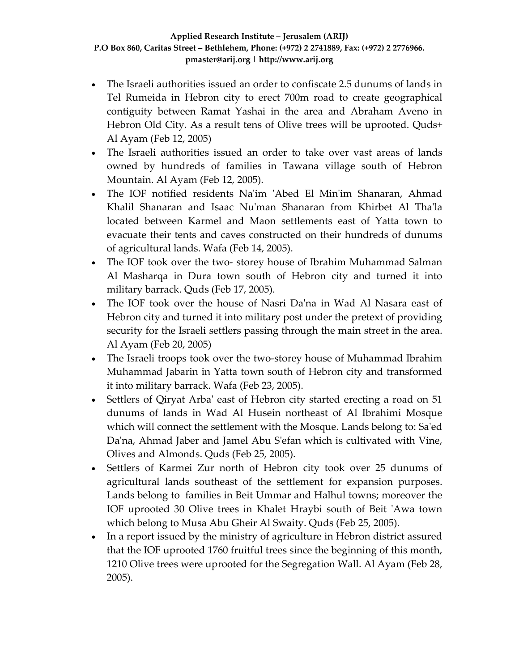- The Israeli authorities issued an order to confiscate 2.5 dunums of lands in Tel Rumeida in Hebron city to erect 700m road to create geographical contiguity between Ramat Yashai in the area and Abraham Aveno in Hebron Old City. As a result tens of Olive trees will be uprooted. Quds+ Al Ayam (Feb 12, 2005)
- The Israeli authorities issued an order to take over vast areas of lands owned by hundreds of families in Tawana village south of Hebron Mountain. Al Ayam (Feb 12, 2005).
- The IOF notified residents Na'im 'Abed El Min'im Shanaran, Ahmad Khalil Shanaran and Isaac Nuʹman Shanaran from Khirbet Al Thaʹla located between Karmel and Maon settlements east of Yatta town to evacuate their tents and caves constructed on their hundreds of dunums of agricultural lands. Wafa (Feb 14, 2005).
- The IOF took over the two-storey house of Ibrahim Muhammad Salman Al Masharqa in Dura town south of Hebron city and turned it into military barrack. Quds (Feb 17, 2005).
- The IOF took over the house of Nasri Daʹna in Wad Al Nasara east of Hebron city and turned it into military post under the pretext of providing security for the Israeli settlers passing through the main street in the area. Al Ayam (Feb 20, 2005)
- The Israeli troops took over the two-storey house of Muhammad Ibrahim Muhammad Jabarin in Yatta town south of Hebron city and transformed it into military barrack. Wafa (Feb 23, 2005).
- Settlers of Qiryat Arba' east of Hebron city started erecting a road on 51 dunums of lands in Wad Al Husein northeast of Al Ibrahimi Mosque which will connect the settlement with the Mosque. Lands belong to: Sa'ed Da'na, Ahmad Jaber and Jamel Abu S'efan which is cultivated with Vine, Olives and Almonds. Quds (Feb 25, 2005).
- Settlers of Karmei Zur north of Hebron city took over 25 dunums of agricultural lands southeast of the settlement for expansion purposes. Lands belong to families in Beit Ummar and Halhul towns; moreover the IOF uprooted 30 Olive trees in Khalet Hraybi south of Beit ʹAwa town which belong to Musa Abu Gheir Al Swaity. Quds (Feb 25, 2005).
- In a report issued by the ministry of agriculture in Hebron district assured that the IOF uprooted 1760 fruitful trees since the beginning of this month, 1210 Olive trees were uprooted for the Segregation Wall. Al Ayam (Feb 28, 2005).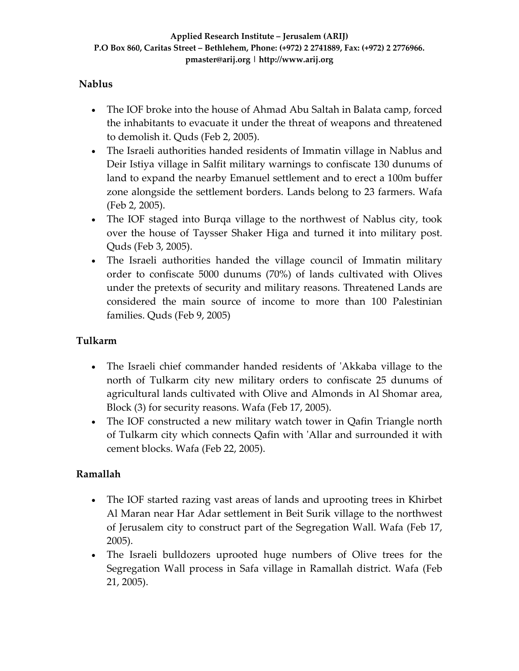## **Nablus**

- The IOF broke into the house of Ahmad Abu Saltah in Balata camp, forced the inhabitants to evacuate it under the threat of weapons and threatened to demolish it. Quds (Feb 2, 2005).
- The Israeli authorities handed residents of Immatin village in Nablus and Deir Istiya village in Salfit military warnings to confiscate 130 dunums of land to expand the nearby Emanuel settlement and to erect a 100m buffer zone alongside the settlement borders. Lands belong to 23 farmers. Wafa (Feb 2, 2005).
- The IOF staged into Burga village to the northwest of Nablus city, took over the house of Taysser Shaker Higa and turned it into military post. Quds (Feb 3, 2005).
- The Israeli authorities handed the village council of Immatin military order to confiscate 5000 dunums (70%) of lands cultivated with Olives under the pretexts of security and military reasons. Threatened Lands are considered the main source of income to more than 100 Palestinian families. Quds (Feb 9, 2005)

## **Tulkarm**

- The Israeli chief commander handed residents of 'Akkaba village to the north of Tulkarm city new military orders to confiscate 25 dunums of agricultural lands cultivated with Olive and Almonds in Al Shomar area, Block (3) for security reasons. Wafa (Feb 17, 2005).
- The IOF constructed a new military watch tower in Qafin Triangle north of Tulkarm city which connects Qafin with ʹAllar and surrounded it with cement blocks. Wafa (Feb 22, 2005).

## **Ramallah**

- The IOF started razing vast areas of lands and uprooting trees in Khirbet Al Maran near Har Adar settlement in Beit Surik village to the northwest of Jerusalem city to construct part of the Segregation Wall. Wafa (Feb 17, 2005).
- The Israeli bulldozers uprooted huge numbers of Olive trees for the Segregation Wall process in Safa village in Ramallah district. Wafa (Feb 21, 2005).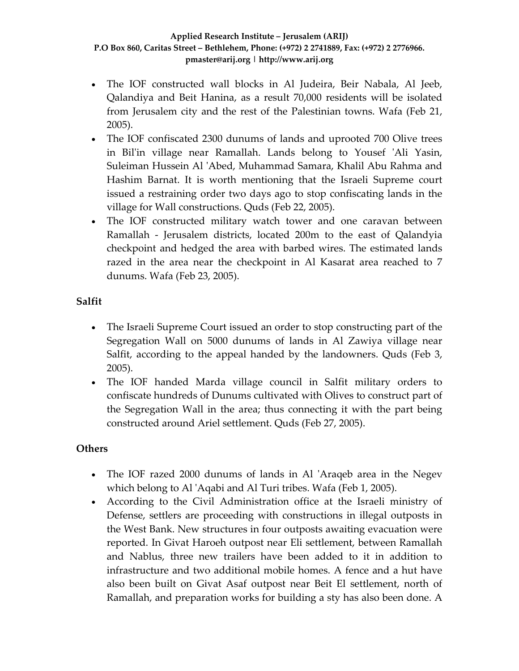- The IOF constructed wall blocks in Al Judeira, Beir Nabala, Al Jeeb, Qalandiya and Beit Hanina, as a result 70,000 residents will be isolated from Jerusalem city and the rest of the Palestinian towns. Wafa (Feb 21, 2005).
- The IOF confiscated 2300 dunums of lands and uprooted 700 Olive trees in Bil'in village near Ramallah. Lands belong to Yousef 'Ali Yasin, Suleiman Hussein Al ʹAbed, Muhammad Samara, Khalil Abu Rahma and Hashim Barnat. It is worth mentioning that the Israeli Supreme court issued a restraining order two days ago to stop confiscating lands in the village for Wall constructions. Quds (Feb 22, 2005).
- The IOF constructed military watch tower and one caravan between Ramallah - Jerusalem districts, located 200m to the east of Qalandyia checkpoint and hedged the area with barbed wires. The estimated lands razed in the area near the checkpoint in Al Kasarat area reached to 7 dunums. Wafa (Feb 23, 2005).

## **Salfit**

- The Israeli Supreme Court issued an order to stop constructing part of the Segregation Wall on 5000 dunums of lands in Al Zawiya village near Salfit, according to the appeal handed by the landowners. Quds (Feb 3, 2005).
- The IOF handed Marda village council in Salfit military orders to confiscate hundreds of Dunums cultivated with Olives to construct part of the Segregation Wall in the area; thus connecting it with the part being constructed around Ariel settlement. Quds (Feb 27, 2005).

## **Others**

- The IOF razed 2000 dunums of lands in Al 'Araqeb area in the Negev which belong to Al 'Aqabi and Al Turi tribes. Wafa (Feb 1, 2005).
- According to the Civil Administration office at the Israeli ministry of Defense, settlers are proceeding with constructions in illegal outposts in the West Bank. New structures in four outposts awaiting evacuation were reported. In Givat Haroeh outpost near Eli settlement, between Ramallah and Nablus, three new trailers have been added to it in addition to infrastructure and two additional mobile homes. A fence and a hut have also been built on Givat Asaf outpost near Beit El settlement, north of Ramallah, and preparation works for building a sty has also been done. A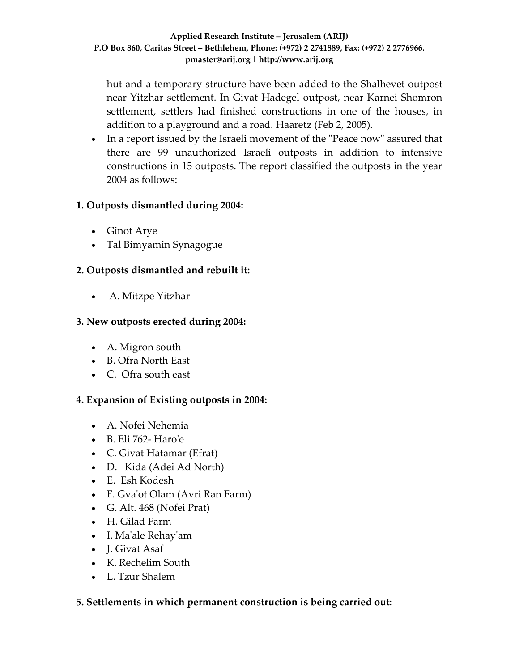hut and a temporary structure have been added to the Shalhevet outpost near Yitzhar settlement. In Givat Hadegel outpost, near Karnei Shomron settlement, settlers had finished constructions in one of the houses, in addition to a playground and a road. Haaretz (Feb 2, 2005).

• In a report issued by the Israeli movement of the "Peace now" assured that there are 99 unauthorized Israeli outposts in addition to intensive constructions in 15 outposts. The report classified the outposts in the year 2004 as follows:

## **1. Outposts dismantled during 2004:**

- Ginot Arye
- Tal Bimyamin Synagogue

# **2. Outposts dismantled and rebuilt it:**

• A. Mitzpe Yitzhar

### **3. New outposts erected during 2004:**

- A. Migron south
- B. Ofra North East
- C. Ofra south east

## **4. Expansion of Existing outposts in 2004:**

- A. Nofei Nehemia
- B. Eli 762‐ Haroʹe
- C. Givat Hatamar (Efrat)
- D. Kida (Adei Ad North)
- E. Esh Kodesh
- F. Gva'ot Olam (Avri Ran Farm)
- G. Alt. 468 (Nofei Prat)
- H. Gilad Farm
- I. Maʹale Rehayʹam
- J. Givat Asaf
- K. Rechelim South
- L. Tzur Shalem

#### **5. Settlements in which permanent construction is being carried out:**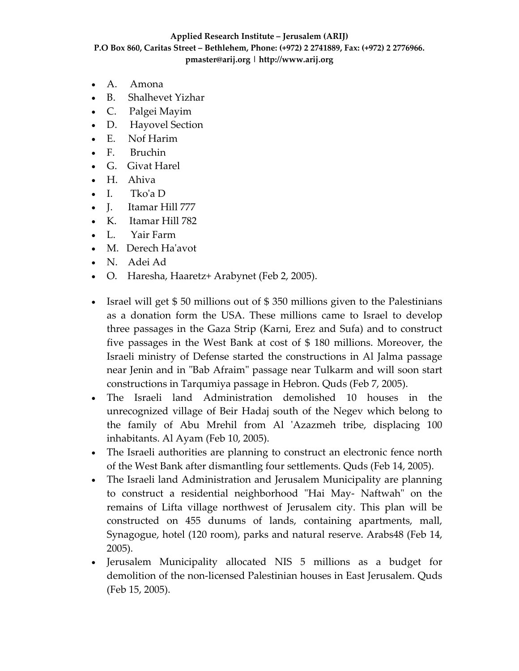- A. Amona
- B. Shalhevet Yizhar
- C. Palgei Mayim
- D. Hayovel Section
- E. Nof Harim
- F. Bruchin
- G. Givat Harel
- H. Ahiva
- I. Tko'a D
- J. Itamar Hill 777
- K. Itamar Hill 782
- L. Yair Farm
- M. Derech Ha'avot
- N. Adei Ad
- O. Haresha, Haaretz+ Arabynet (Feb 2, 2005).
- Israel will get \$50 millions out of \$350 millions given to the Palestinians as a donation form the USA. These millions came to Israel to develop three passages in the Gaza Strip (Karni, Erez and Sufa) and to construct five passages in the West Bank at cost of \$ 180 millions. Moreover, the Israeli ministry of Defense started the constructions in Al Jalma passage near Jenin and in "Bab Afraim" passage near Tulkarm and will soon start constructions in Tarqumiya passage in Hebron. Quds (Feb 7, 2005).
- The Israeli land Administration demolished 10 houses in the unrecognized village of Beir Hadaj south of the Negev which belong to the family of Abu Mrehil from Al ʹAzazmeh tribe, displacing 100 inhabitants. Al Ayam (Feb 10, 2005).
- The Israeli authorities are planning to construct an electronic fence north of the West Bank after dismantling four settlements. Quds (Feb 14, 2005).
- The Israeli land Administration and Jerusalem Municipality are planning to construct a residential neighborhood "Hai May- Naftwah" on the remains of Lifta village northwest of Jerusalem city. This plan will be constructed on 455 dunums of lands, containing apartments, mall, Synagogue, hotel (120 room), parks and natural reserve. Arabs48 (Feb 14, 2005).
- Jerusalem Municipality allocated NIS 5 millions as a budget for demolition of the non-licensed Palestinian houses in East Jerusalem. Quds (Feb 15, 2005).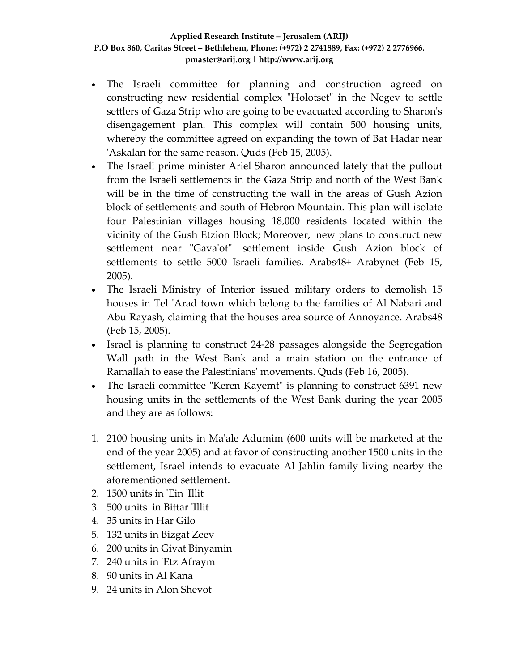- The Israeli committee for planning and construction agreed on constructing new residential complex "Holotset" in the Negev to settle settlers of Gaza Strip who are going to be evacuated according to Sharon's disengagement plan. This complex will contain 500 housing units, whereby the committee agreed on expanding the town of Bat Hadar near ʹAskalan for the same reason. Quds (Feb 15, 2005).
- The Israeli prime minister Ariel Sharon announced lately that the pullout from the Israeli settlements in the Gaza Strip and north of the West Bank will be in the time of constructing the wall in the areas of Gush Azion block of settlements and south of Hebron Mountain. This plan will isolate four Palestinian villages housing 18,000 residents located within the vicinity of the Gush Etzion Block; Moreover, new plans to construct new settlement near "Gava'ot" settlement inside Gush Azion block of settlements to settle 5000 Israeli families. Arabs48+ Arabynet (Feb 15, 2005).
- The Israeli Ministry of Interior issued military orders to demolish 15 houses in Tel 'Arad town which belong to the families of Al Nabari and Abu Rayash, claiming that the houses area source of Annoyance. Arabs48 (Feb 15, 2005).
- Israel is planning to construct 24‐28 passages alongside the Segregation Wall path in the West Bank and a main station on the entrance of Ramallah to ease the Palestiniansʹ movements. Quds (Feb 16, 2005).
- The Israeli committee "Keren Kayemt" is planning to construct 6391 new housing units in the settlements of the West Bank during the year 2005 and they are as follows:
- 1. 2100 housing units in Maʹale Adumim (600 units will be marketed at the end of the year 2005) and at favor of constructing another 1500 units in the settlement, Israel intends to evacuate Al Jahlin family living nearby the aforementioned settlement.
- 2. 1500 units in 'Ein 'Illit
- 3. 500 units in Bittar ʹIllit
- 4. 35 units in Har Gilo
- 5. 132 units in Bizgat Zeev
- 6. 200 units in Givat Binyamin
- 7. 240 units in ʹEtz Afraym
- 8. 90 units in Al Kana
- 9. 24 units in Alon Shevot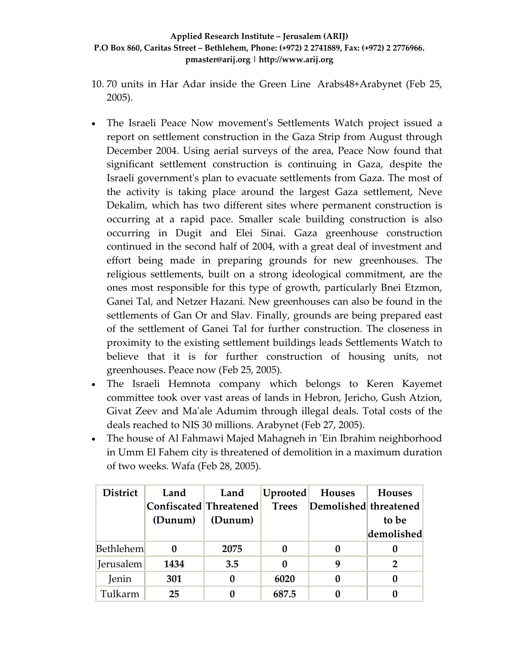- 10. 70 units in Har Adar inside the Green Line Arabs48+Arabynet (Feb 25, 2005).
- The Israeli Peace Now movement's Settlements Watch project issued a report on settlement construction in the Gaza Strip from August through December 2004. Using aerial surveys of the area, Peace Now found that significant settlement construction is continuing in Gaza, despite the Israeli governmentʹs plan to evacuate settlements from Gaza. The most of the activity is taking place around the largest Gaza settlement, Neve Dekalim, which has two different sites where permanent construction is occurring at a rapid pace. Smaller scale building construction is also occurring in Dugit and Elei Sinai. Gaza greenhouse construction continued in the second half of 2004, with a great deal of investment and effort being made in preparing grounds for new greenhouses. The religious settlements, built on a strong ideological commitment, are the ones most responsible for this type of growth, particularly Bnei Etzmon, Ganei Tal, and Netzer Hazani. New greenhouses can also be found in the settlements of Gan Or and Slav. Finally, grounds are being prepared east of the settlement of Ganei Tal for further construction. The closeness in proximity to the existing settlement buildings leads Settlements Watch to believe that it is for further construction of housing units, not greenhouses. Peace now (Feb 25, 2005).
- The Israeli Hemnota company which belongs to Keren Kayemet committee took over vast areas of lands in Hebron, Jericho, Gush Atzion, Givat Zeev and Maʹale Adumim through illegal deals. Total costs of the deals reached to NIS 30 millions. Arabynet (Feb 27, 2005).
- The house of Al Fahmawi Majed Mahagneh in 'Ein Ibrahim neighborhood in Umm El Fahem city is threatened of demolition in a maximum duration of two weeks. Wafa (Feb 28, 2005).

| <b>District</b>  | Land                   | Land    | Uprooted     | Houses                | <b>Houses</b> |
|------------------|------------------------|---------|--------------|-----------------------|---------------|
|                  | Confiscated Threatened |         | <b>Trees</b> | Demolished threatened |               |
|                  | (Dunum)                | (Dunum) |              |                       | to be         |
|                  |                        |         |              |                       | demolished    |
| <b>Bethlehem</b> |                        | 2075    |              |                       |               |
| Jerusalem        | 1434                   | 3.5     |              | q                     | 2             |
| Jenin            | 301                    |         | 6020         |                       |               |
| Tulkarm          | 25                     |         | 687.5        |                       |               |